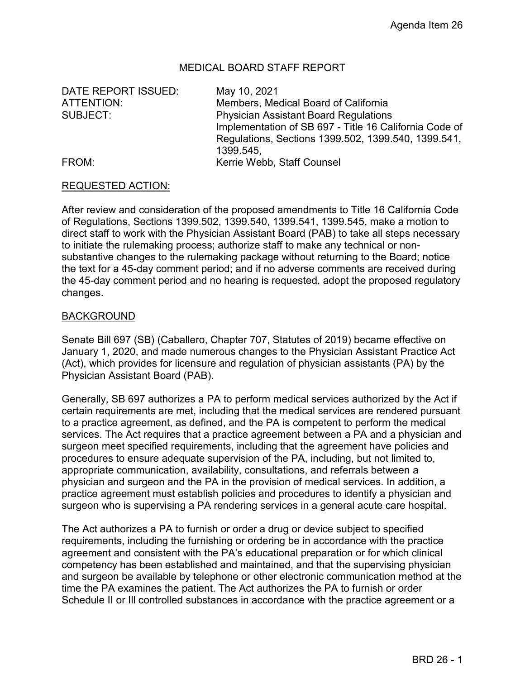### MEDICAL BOARD STAFF REPORT

DATE REPORT ISSUED: May 10, 2021

ATTENTION: Members, Medical Board of California SUBJECT: Physician Assistant Board Regulations Implementation of SB 697 - Title 16 California Code of Regulations, Sections 1399.502, 1399.540, 1399.541, 1399.545, FROM: **Kerrie Webb, Staff Counsel** 

#### REQUESTED ACTION:

After review and consideration of the proposed amendments to Title 16 California Code of Regulations, Sections 1399.502, 1399.540, 1399.541, 1399.545, make a motion to direct staff to work with the Physician Assistant Board (PAB) to take all steps necessary to initiate the rulemaking process; authorize staff to make any technical or nonsubstantive changes to the rulemaking package without returning to the Board; notice the text for a 45-day comment period; and if no adverse comments are received during the 45-day comment period and no hearing is requested, adopt the proposed regulatory changes.

#### BACKGROUND

Senate Bill 697 (SB) (Caballero, Chapter 707, Statutes of 2019) became effective on January 1, 2020, and made numerous changes to the Physician Assistant Practice Act (Act), which provides for licensure and regulation of physician assistants (PA) by the Physician Assistant Board (PAB).

Generally, SB 697 authorizes a PA to perform medical services authorized by the Act if certain requirements are met, including that the medical services are rendered pursuant to a practice agreement, as defined, and the PA is competent to perform the medical services. The Act requires that a practice agreement between a PA and a physician and surgeon meet specified requirements, including that the agreement have policies and procedures to ensure adequate supervision of the PA, including, but not limited to, appropriate communication, availability, consultations, and referrals between a physician and surgeon and the PA in the provision of medical services. In addition, a practice agreement must establish policies and procedures to identify a physician and surgeon who is supervising a PA rendering services in a general acute care hospital.

The Act authorizes a PA to furnish or order a drug or device subject to specified requirements, including the furnishing or ordering be in accordance with the practice agreement and consistent with the PA's educational preparation or for which clinical competency has been established and maintained, and that the supervising physician and surgeon be available by telephone or other electronic communication method at the time the PA examines the patient. The Act authorizes the PA to furnish or order Schedule II or Ill controlled substances in accordance with the practice agreement or a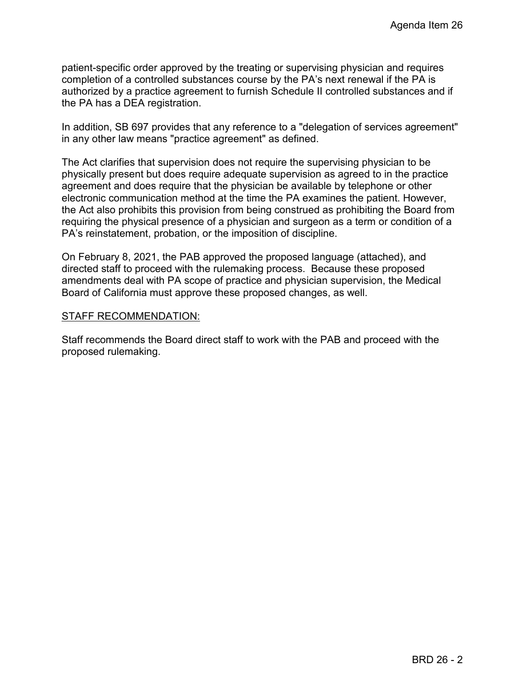patient-specific order approved by the treating or supervising physician and requires completion of a controlled substances course by the PA's next renewal if the PA is authorized by a practice agreement to furnish Schedule II controlled substances and if the PA has a DEA registration.

In addition, SB 697 provides that any reference to a "delegation of services agreement" in any other law means "practice agreement" as defined.

The Act clarifies that supervision does not require the supervising physician to be physically present but does require adequate supervision as agreed to in the practice agreement and does require that the physician be available by telephone or other electronic communication method at the time the PA examines the patient. However, the Act also prohibits this provision from being construed as prohibiting the Board from requiring the physical presence of a physician and surgeon as a term or condition of a PA's reinstatement, probation, or the imposition of discipline.

On February 8, 2021, the PAB approved the proposed language (attached), and directed staff to proceed with the rulemaking process. Because these proposed amendments deal with PA scope of practice and physician supervision, the Medical Board of California must approve these proposed changes, as well.

#### STAFF RECOMMENDATION:

Staff recommends the Board direct staff to work with the PAB and proceed with the proposed rulemaking.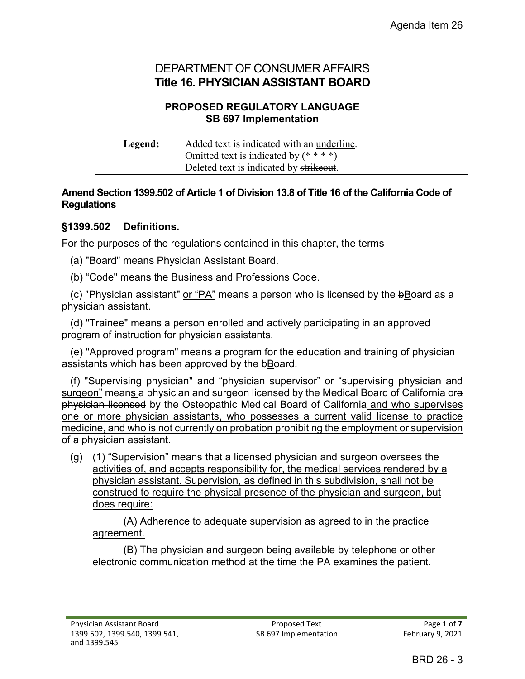# DEPARTMENT OF CONSUMER AFFAIRS **Title 16. PHYSICIAN ASSISTANT BOARD**

## **PROPOSED REGULATORY LANGUAGE SB 697 Implementation**

| Legend: | Added text is indicated with an underline. |
|---------|--------------------------------------------|
|         | Omitted text is indicated by $(****)$      |
|         | Deleted text is indicated by strikeout.    |

### **Amend Section 1399.502 of Article 1 of Division 13.8 of Title 16 of the California Code of Regulations**

## **§1399.502 Definitions.**

For the purposes of the regulations contained in this chapter, the terms

(a) "Board" means Physician Assistant Board.

(b) "Code" means the Business and Professions Code.

 (c) "Physician assistant" or "PA" means a person who is licensed by the bBoard as a physician assistant.

 (d) "Trainee" means a person enrolled and actively participating in an approved program of instruction for physician assistants.

 (e) "Approved program" means a program for the education and training of physician assistants which has been approved by the bBoard.

 (f) "Supervising physician" and "physician supervisor" or "supervising physician and surgeon" means a physician and surgeon licensed by the Medical Board of California ora physician licensed by the Osteopathic Medical Board of California and who supervises one or more physician assistants, who possesses a current valid license to practice medicine, and who is not currently on probation prohibiting the employment or supervision of a physician assistant.

(g) (1) "Supervision" means that a licensed physician and surgeon oversees the activities of, and accepts responsibility for, the medical services rendered by a physician assistant. Supervision, as defined in this subdivision, shall not be construed to require the physical presence of the physician and surgeon, but does require:

(A) Adherence to adequate supervision as agreed to in the practice agreement.

(B) The physician and surgeon being available by telephone or other electronic communication method at the time the PA examines the patient.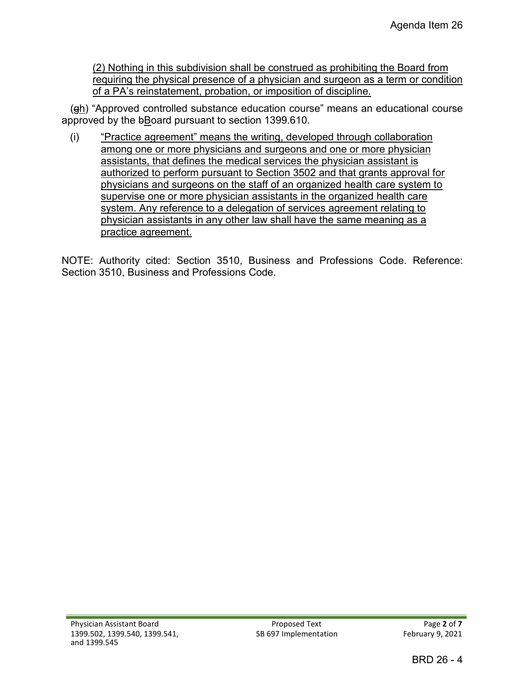(2) Nothing in this subdivision shall be construed as prohibiting the Board from requiring the physical presence of a physician and surgeon as a term or condition of a PA's reinstatement, probation, or imposition of discipline.

 $(qh)$  "Approved controlled substance education course" means an educational course approved by the bBoard pursuant to section 1399.610.

(i) "Practice agreement" means the writing, developed through collaboration among one or more physicians and surgeons and one or more physician assistants, that defines the medical services the physician assistant is authorized to perform pursuant to Section 3502 and that grants approval for physicians and surgeons on the staff of an organized health care system to supervise one or more physician assistants in the organized health care system. Any reference to a delegation of services agreement relating to physician assistants in any other law shall have the same meaning as a practice agreement.

NOTE: Authority cited: Section 3510, Business and Professions Code. Reference: Section 3510, Business and Professions Code.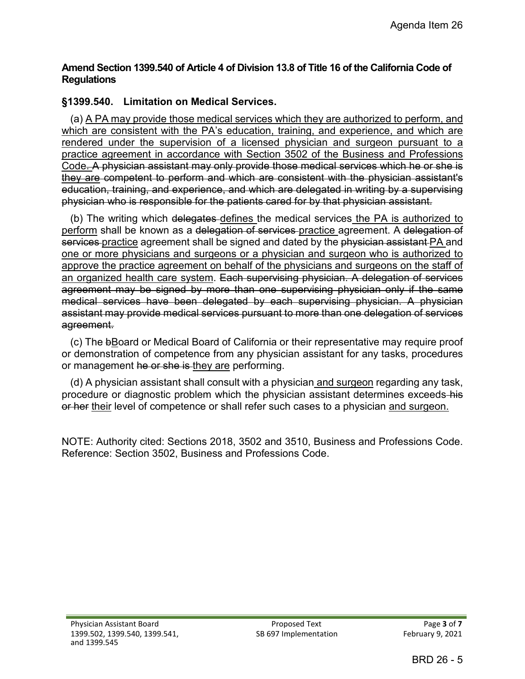### **Amend Section 1399.540 of Article 4 of Division 13.8 of Title 16 of the California Code of Regulations**

## **§1399.540. Limitation on Medical Services.**

 (a) A PA may provide those medical services which they are authorized to perform, and which are consistent with the PA's education, training, and experience, and which are rendered under the supervision of a licensed physician and surgeon pursuant to a practice agreement in accordance with Section 3502 of the Business and Professions Code. A physician assistant may only provide those medical services which he or she is they are competent to perform and which are consistent with the physician assistant's education, training, and experience, and which are delegated in writing by a supervising physician who is responsible for the patients cared for by that physician assistant.

 (b) The writing which delegates defines the medical services the PA is authorized to perform shall be known as a delegation of services practice agreement. A delegation of services-practice agreement shall be signed and dated by the physician assistant PA and one or more physicians and surgeons or a physician and surgeon who is authorized to approve the practice agreement on behalf of the physicians and surgeons on the staff of an organized health care system. Each supervising physician. A delegation of services agreement may be signed by more than one supervising physician only if the same medical services have been delegated by each supervising physician. A physician assistant may provide medical services pursuant to more than one delegation of services agreement.

(c) The bBoard or Medical Board of California or their representative may require proof or demonstration of competence from any physician assistant for any tasks, procedures or management he or she is they are performing.

 (d) A physician assistant shall consult with a physician and surgeon regarding any task, procedure or diagnostic problem which the physician assistant determines exceeds his or her their level of competence or shall refer such cases to a physician and surgeon.

NOTE: Authority cited: Sections 2018, 3502 and 3510, Business and Professions Code. Reference: Section 3502, Business and Professions Code.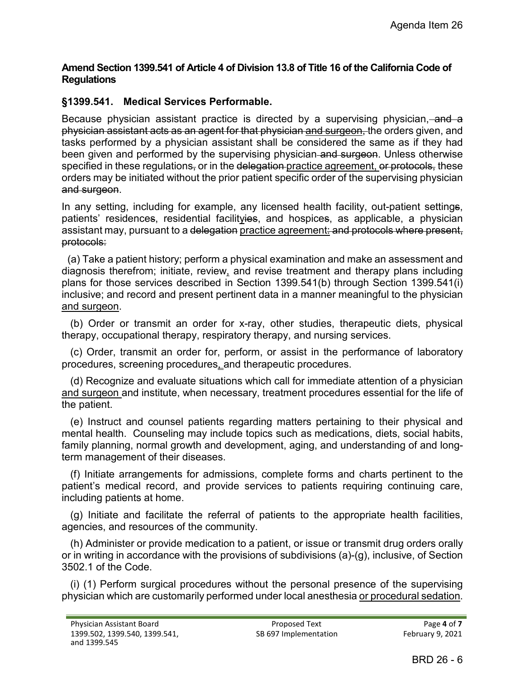### **Amend Section 1399.541 of Article 4 of Division 13.8 of Title 16 of the California Code of Regulations**

## **§1399.541. Medical Services Performable.**

Because physician assistant practice is directed by a supervising physician, and a physician assistant acts as an agent for that physician and surgeon, the orders given, and tasks performed by a physician assistant shall be considered the same as if they had been given and performed by the supervising physician and surgeon. Unless otherwise specified in these regulations, or in the delegation practice agreement, or protocols, these orders may be initiated without the prior patient specific order of the supervising physician and surgeon.

In any setting, including for example, any licensed health facility, out-patient settings, patients' residences, residential facilityies, and hospices, as applicable, a physician assistant may, pursuant to a delegation practice agreement: and protocols where present, protocols:

 (a) Take a patient history; perform a physical examination and make an assessment and diagnosis therefrom; initiate, review, and revise treatment and therapy plans including plans for those services described in Section 1399.541(b) through Section 1399.541(i) inclusive; and record and present pertinent data in a manner meaningful to the physician and surgeon.

 (b) Order or transmit an order for x-ray, other studies, therapeutic diets, physical therapy, occupational therapy, respiratory therapy, and nursing services.

 (c) Order, transmit an order for, perform, or assist in the performance of laboratory procedures, screening procedures, and therapeutic procedures.

 (d) Recognize and evaluate situations which call for immediate attention of a physician and surgeon and institute, when necessary, treatment procedures essential for the life of the patient.

 (e) Instruct and counsel patients regarding matters pertaining to their physical and mental health. Counseling may include topics such as medications, diets, social habits, family planning, normal growth and development, aging, and understanding of and longterm management of their diseases.

 (f) Initiate arrangements for admissions, complete forms and charts pertinent to the patient's medical record, and provide services to patients requiring continuing care, including patients at home.

 (g) Initiate and facilitate the referral of patients to the appropriate health facilities, agencies, and resources of the community.

 (h) Administer or provide medication to a patient, or issue or transmit drug orders orally or in writing in accordance with the provisions of subdivisions (a)-(g), inclusive, of Section 3502.1 of the Code.

 (i) (1) Perform surgical procedures without the personal presence of the supervising physician which are customarily performed under local anesthesia or procedural sedation.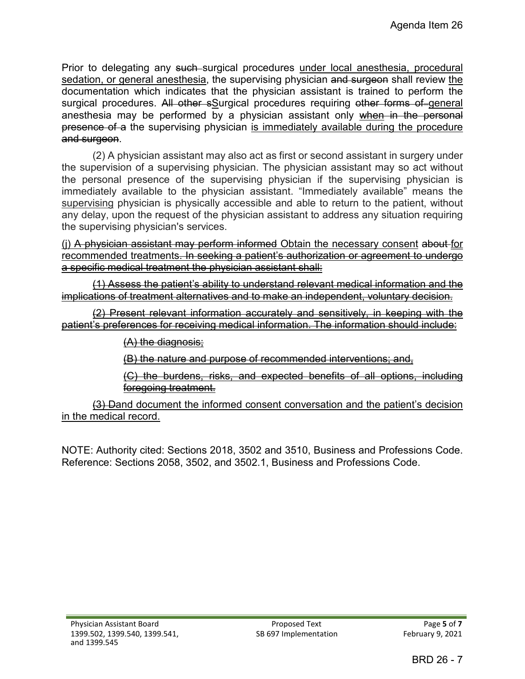Prior to delegating any such surgical procedures under local anesthesia, procedural sedation, or general anesthesia, the supervising physician and surgeon shall review the documentation which indicates that the physician assistant is trained to perform the surgical procedures. All other sSurgical procedures requiring other forms of-general anesthesia may be performed by a physician assistant only when in the personal presence of a the supervising physician is immediately available during the procedure and surgeon.

(2) A physician assistant may also act as first or second assistant in surgery under the supervision of a supervising physician. The physician assistant may so act without the personal presence of the supervising physician if the supervising physician is immediately available to the physician assistant. "Immediately available" means the supervising physician is physically accessible and able to return to the patient, without any delay, upon the request of the physician assistant to address any situation requiring the supervising physician's services.

(j) A physician assistant may perform informed Obtain the necessary consent about for recommended treatments. In seeking a patient's authorization or agreement to undergo a specific medical treatment the physician assistant shall:

(1) Assess the patient's ability to understand relevant medical information and the implications of treatment alternatives and to make an independent, voluntary decision.

(2) Present relevant information accurately and sensitively, in keeping with the patient's preferences for receiving medical information. The information should include:

(A) the diagnosis;

(B) the nature and purpose of recommended interventions; and,

(C) the burdens, risks, and expected benefits of all options, including foregoing treatment.

(3) Dand document the informed consent conversation and the patient's decision in the medical record.

NOTE: Authority cited: Sections 2018, 3502 and 3510, Business and Professions Code. Reference: Sections 2058, 3502, and 3502.1, Business and Professions Code.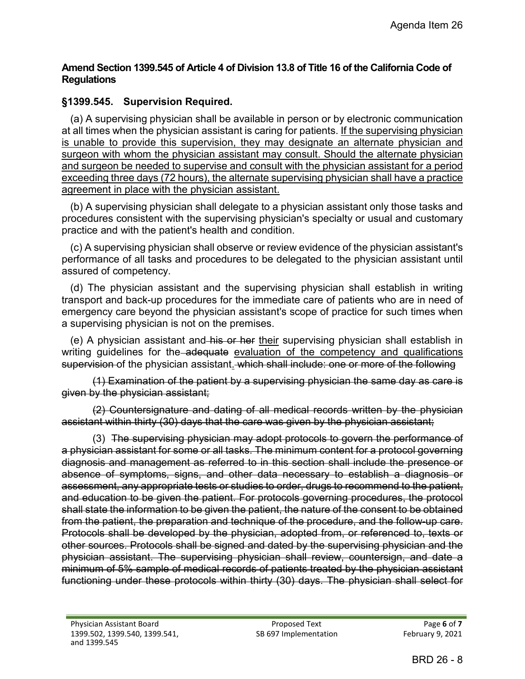### **Amend Section 1399.545 of Article 4 of Division 13.8 of Title 16 of the California Code of Regulations**

## **§1399.545. Supervision Required.**

 (a) A supervising physician shall be available in person or by electronic communication at all times when the physician assistant is caring for patients. If the supervising physician is unable to provide this supervision, they may designate an alternate physician and surgeon with whom the physician assistant may consult. Should the alternate physician and surgeon be needed to supervise and consult with the physician assistant for a period exceeding three days (72 hours), the alternate supervising physician shall have a practice agreement in place with the physician assistant.

 (b) A supervising physician shall delegate to a physician assistant only those tasks and procedures consistent with the supervising physician's specialty or usual and customary practice and with the patient's health and condition.

 (c) A supervising physician shall observe or review evidence of the physician assistant's performance of all tasks and procedures to be delegated to the physician assistant until assured of competency.

 (d) The physician assistant and the supervising physician shall establish in writing transport and back-up procedures for the immediate care of patients who are in need of emergency care beyond the physician assistant's scope of practice for such times when a supervising physician is not on the premises.

(e) A physician assistant and his or her their supervising physician shall establish in writing guidelines for the adequate evaluation of the competency and qualifications supervision of the physician assistant. which shall include: one or more of the following

(1) Examination of the patient by a supervising physician the same day as care is given by the physician assistant;

(2) Countersignature and dating of all medical records written by the physician assistant within thirty (30) days that the care was given by the physician assistant;

(3) The supervising physician may adopt protocols to govern the performance of a physician assistant for some or all tasks. The minimum content for a protocol governing diagnosis and management as referred to in this section shall include the presence or absence of symptoms, signs, and other data necessary to establish a diagnosis or assessment, any appropriate tests or studies to order, drugs to recommend to the patient, and education to be given the patient. For protocols governing procedures, the protocol shall state the information to be given the patient, the nature of the consent to be obtained from the patient, the preparation and technique of the procedure, and the follow-up care. Protocols shall be developed by the physician, adopted from, or referenced to, texts or other sources. Protocols shall be signed and dated by the supervising physician and the physician assistant. The supervising physician shall review, countersign, and date a minimum of 5% sample of medical records of patients treated by the physician assistant functioning under these protocols within thirty (30) days. The physician shall select for